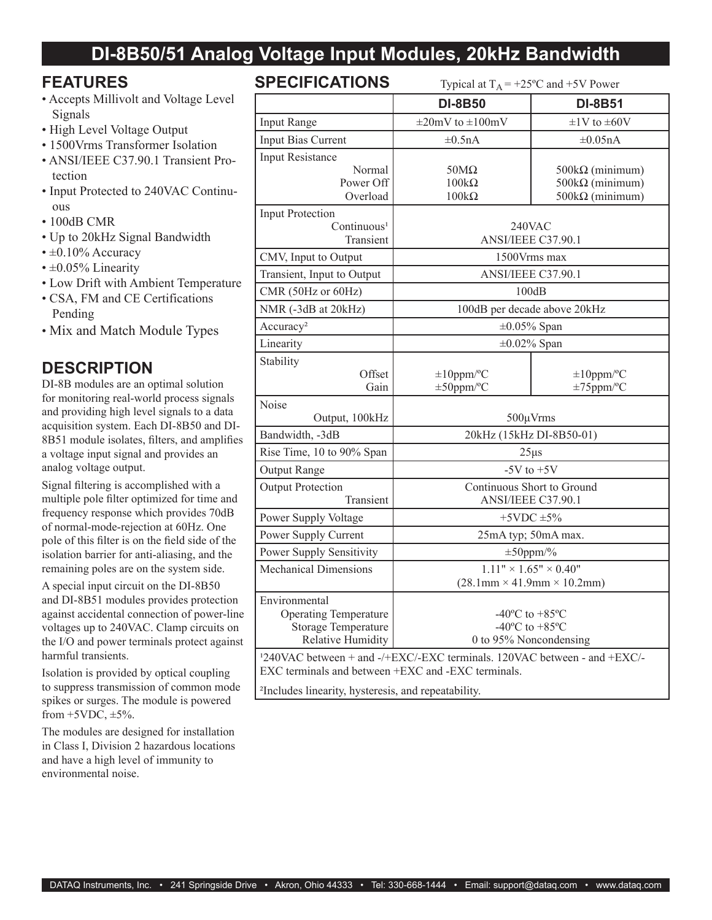## **DI-8B50/51 Analog Voltage Input Modules, 20kHz Bandwidth**

#### **FEATURES**

- Accepts Millivolt and Voltage Level Signals
- High Level Voltage Output
- 1500Vrms Transformer Isolation
- ANSI/IEEE C37.90.1 Transient Protection
- Input Protected to 240VAC Continuous
- 100dB CMR
- Up to 20kHz Signal Bandwidth
- $\cdot \pm 0.10\%$  Accuracy
- $\pm 0.05\%$  Linearity
- Low Drift with Ambient Temperature
- CSA, FM and CE Certifications Pending
- Mix and Match Module Types

## **DESCRIPTION**

DI-8B modules are an optimal solution for monitoring real-world process signals and providing high level signals to a data acquisition system. Each DI-8B50 and DI-8B51 module isolates, filters, and amplifies a voltage input signal and provides an analog voltage output.

Signal filtering is accomplished with a multiple pole filter optimized for time and frequency response which provides 70dB of normal-mode-rejection at 60Hz. One pole of this filter is on the field side of the isolation barrier for anti-aliasing, and the remaining poles are on the system side.

A special input circuit on the DI-8B50 and DI-8B51 modules provides protection against accidental connection of power-line voltages up to 240VAC. Clamp circuits on the I/O and power terminals protect against harmful transients.

Isolation is provided by optical coupling to suppress transmission of common mode spikes or surges. The module is powered from  $+5VDC$ ,  $\pm 5\%$ .

The modules are designed for installation in Class I, Division 2 hazardous locations and have a high level of immunity to environmental noise.

## **SPECIFICATIONS** Typical at  $T_A = +25^\circ C$  and  $+5V$  Power

|                                                                                                                                            | 1 y pivai at 1 A                                                                                     | $\sim$ $\sim$ and $\sim$ $\sim$ 1 0 w $\sim$                               |
|--------------------------------------------------------------------------------------------------------------------------------------------|------------------------------------------------------------------------------------------------------|----------------------------------------------------------------------------|
|                                                                                                                                            | <b>DI-8B50</b>                                                                                       | <b>DI-8B51</b>                                                             |
| Input Range                                                                                                                                | $\pm 20$ mV to $\pm 100$ mV                                                                          | $\pm$ 1V to $\pm$ 60V                                                      |
| Input Bias Current                                                                                                                         | $\pm 0.5nA$                                                                                          | $\pm 0.05$ nA                                                              |
| Input Resistance<br>Normal<br>Power Off<br>Overload                                                                                        | $50M\Omega$<br>$100k\Omega$<br>$100k\Omega$                                                          | $500k\Omega$ (minimum)<br>$500k\Omega$ (minimum)<br>$500k\Omega$ (minimum) |
| <b>Input Protection</b><br>Continuous <sup>1</sup><br>Transient                                                                            | 240VAC<br>ANSI/IEEE C37.90.1                                                                         |                                                                            |
| CMV, Input to Output                                                                                                                       | 1500Vrms max                                                                                         |                                                                            |
| Transient, Input to Output                                                                                                                 | ANSI/IEEE C37.90.1                                                                                   |                                                                            |
| CMR (50Hz or 60Hz)                                                                                                                         | 100dB                                                                                                |                                                                            |
| NMR (-3dB at 20kHz)                                                                                                                        | 100dB per decade above 20kHz                                                                         |                                                                            |
| Accuracy <sup>2</sup>                                                                                                                      | $\pm 0.05\%$ Span                                                                                    |                                                                            |
| Linearity                                                                                                                                  | $\pm 0.02\%$ Span                                                                                    |                                                                            |
| Stability<br>Offset<br>Gain                                                                                                                | $\pm 10$ ppm/°C<br>$\pm 50$ ppm/°C                                                                   | $\pm 10$ ppm/°C<br>$\pm 75$ ppm/°C                                         |
| Noise<br>Output, 100kHz                                                                                                                    | $500 \mu V$ rms                                                                                      |                                                                            |
| Bandwidth, -3dB                                                                                                                            | 20kHz (15kHz DI-8B50-01)                                                                             |                                                                            |
| Rise Time, 10 to 90% Span                                                                                                                  | $25\mu s$                                                                                            |                                                                            |
| Output Range                                                                                                                               | $-5V$ to $+5V$                                                                                       |                                                                            |
| <b>Output Protection</b><br>Transient                                                                                                      | Continuous Short to Ground<br>ANSI/IEEE C37.90.1                                                     |                                                                            |
| Power Supply Voltage                                                                                                                       | $+5$ VDC $\pm$ 5%                                                                                    |                                                                            |
| Power Supply Current                                                                                                                       | 25mA typ; 50mA max.                                                                                  |                                                                            |
| Power Supply Sensitivity                                                                                                                   | $\pm 50$ ppm/%                                                                                       |                                                                            |
| <b>Mechanical Dimensions</b>                                                                                                               | $1.11" \times 1.65" \times 0.40"$<br>$(28.1 \text{mm} \times 41.9 \text{mm} \times 10.2 \text{mm})$  |                                                                            |
| Environmental<br><b>Operating Temperature</b><br><b>Storage Temperature</b><br><b>Relative Humidity</b>                                    | $-40^{\circ}$ C to $+85^{\circ}$ C<br>-40 $^{\circ}$ C to +85 $^{\circ}$ C<br>0 to 95% Noncondensing |                                                                            |
| <sup>1</sup> 240VAC between + and -/+EXC/-EXC terminals. 120VAC between - and +EXC/-<br>EXC terminals and between +EXC and -EXC terminals. |                                                                                                      |                                                                            |

²Includes linearity, hysteresis, and repeatability.